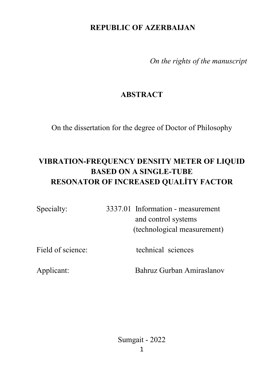# **REPUBLIC OF AZERBAIJAN**

*On the rights of the manuscript* 

# **ABSTRACT**

On the dissertation for the degree of Doctor of Philosophy

# **VIBRATION-FREQUENCY DENSITY METER OF LIQUID BASED ON A SINGLE-TUBE RESONATOR OF INCREASED QUALİTY FACTOR**

| Specialty: | 3337.01 Information - measurement |
|------------|-----------------------------------|
|            | and control systems               |
|            | (technological measurement)       |
|            |                                   |

Field of science: technical sciences

Applicant: Bahruz Gurban Amiraslanov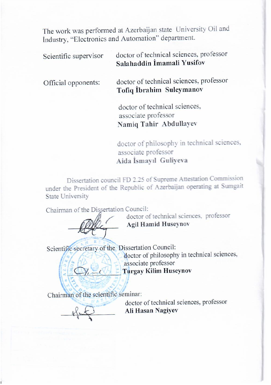The work was performed at Azerbaijan state University Oil and İndustry, "Electronics and Automation" department.

Scientific supervisor doctor of technical sciences, professor **Salahaddin İmamali Yusifov**

Official opponents: doctor of technical sciences, professor **Tofiq İbrahim Suleymanov**

> doctor of technical sciences, associate professor  **Namiq Tahir Abdullayev**

doctor of philosophy in technical sciences,<br>associate professor Aida İsmayıl Guliyeva  **Aida İsmayıl Guliyeva**

Dissertation council FD 2.25 of Supreme Attestation Commission State University

Chairman of the Dissertation Council:



doctor of technical sciences, professor Agil Hamid Huseynov

Scientific secretary of the Dissertation Council: doctor of philosophy in technical sciences,<br>associate professor  $\mathbf{E}$  associate processor  $\mathbf{E}$  $\frac{a}{b}$  i dreave Ninni 110

Chairman of the scientific seminar:

 $\frac{1}{2}$ 

 $\overline{O}$   $\overline{O}$   $\overline{O}$   $\overline{O}$   $\overline{O}$   $\overline{O}$ \_\_\_\_\_\_\_\_\_\_\_\_\_\_\_\_ **Ali Hasan Nagiyev**

 $\overline{\phantom{a}}$  and  $\overline{\phantom{a}}$  such that  $\overline{\phantom{a}}$  such that  $\overline{\phantom{a}}$  such that  $\overline{\phantom{a}}$  such that  $\overline{\phantom{a}}$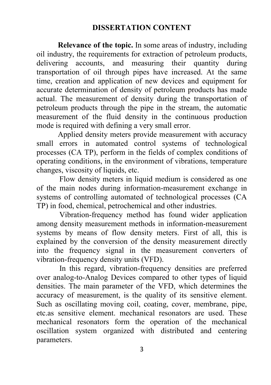#### **DISSERTATION CONTENT**

 **Relevance of the topic.** In some areas of industry, including oil industry, the requirements for extraction of petroleum products, delivering accounts, and measuring their quantity during transportation of oil through pipes have increased. At the same time, creation and application of new devices and equipment for accurate determination of density of petroleum products has made actual. The measurement of density during the transportation of petroleum products through the pipe in the stream, the automatic measurement of the fluid density in the continuous production mode is required with defining a very small error.

 Applied density meters provide measurement with accuracy small errors in automated control systems of technological processes (CA TP), perform in the fields of complex conditions of operating conditions, in the environment of vibrations, temperature changes, viscosity of liquids, etc.

Flow density meters in liquid medium is considered as one of the main nodes during information-measurement exchange in systems of controlling automated of technological processes (CA TP) in food, chemical, petrochemical and other industries.

Vibration-frequency method has found wider application among density measurement methods in information-measurement systems by means of flow density meters. First of all, this is explained by the conversion of the density measurement directly into the frequency signal in the measurement converters of vibration-frequency density units (VFD).

In this regard, vibration-frequency densities are preferred over analog-to-Analog Devices compared to other types of liquid densities. The main parameter of the VFD, which determines the accuracy of measurement, is the quality of its sensitive element. Such as oscillating moving coil, coating, cover, membrane, pipe, etc.as sensitive element. mechanical resonators are used. These mechanical resonators form the operation of the mechanical oscillation system organized with distributed and centering parameters.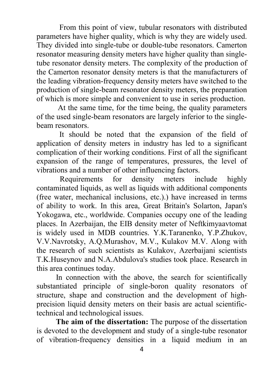From this point of view, tubular resonators with distributed parameters have higher quality, which is why they are widely used. They divided into single-tube or double-tube resonators. Camerton resonator measuring density meters have higher quality than singletube resonator density meters. The complexity of the production of the Camerton resonator density meters is that the manufacturers of the leading vibration-frequency density meters have switched to the production of single-beam resonator density meters, the preparation of which is more simple and convenient to use in series production.

At the same time, for the time being, the quality parameters of the used single-beam resonators are largely inferior to the singlebeam resonators.

It should be noted that the expansion of the field of application of density meters in industry has led to a significant complication of their working conditions. First of all the significant expansion of the range of temperatures, pressures, the level of vibrations and a number of other influencing factors.

 Requirements for density meters include highly contaminated liquids, as well as liquids with additional components (free water, mechanical inclusions, etc.).) have increased in terms of ability to work. In this area, Great Britain's Solarton, Japan's Yokogawa, etc., worldwide. Companies occupy one of the leading places. In Azerbaijan, the EIB density meter of Neftkimyaavtomat is widely used in MDB countries. Y.K.Taranenko, Y.P.Zhukov, V.V.Navrotsky, A.Q.Murashov, M.V., Kulakov M.V. Along with the research of such scientists as Kulakov, Azerbaijani scientists T.K.Huseynov and N.A.Abdulova's studies took place. Research in this area continues today.

In connection with the above, the search for scientifically substantiated principle of single-boron quality resonators of structure, shape and construction and the development of highprecision liquid density meters on their basis are actual scientifictechnical and technological issues.

 **The aim of the dissertation:** The purpose of the dissertation is devoted to the development and study of a single-tube resonator of vibration-frequency densities in a liquid medium in an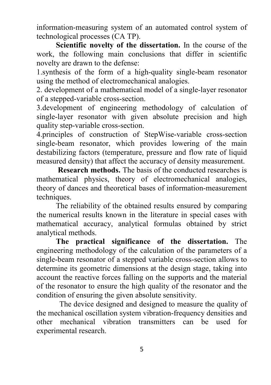information-measuring system of an automated control system of technological processes (CA TP).

 **Scientific novelty of the dissertation.** In the course of the work, the following main conclusions that differ in scientific novelty are drawn to the defense:

1.synthesis of the form of a high-quality single-beam resonator using the method of electromechanical analogies.

2. development of a mathematical model of a single-layer resonator of a stepped-variable cross-section.

3.development of engineering methodology of calculation of single-layer resonator with given absolute precision and high quality step-variable cross-section.

4.principles of construction of StepWise-variable cross-section single-beam resonator, which provides lowering of the main destabilizing factors (temperature, pressure and flow rate of liquid measured density) that affect the accuracy of density measurement.

 **Research methods.** The basis of the conducted researches is mathematical physics, theory of electromechanical analogies, theory of dances and theoretical bases of information-measurement techniques.

 The reliability of the obtained results ensured by comparing the numerical results known in the literature in special cases with mathematical accuracy, analytical formulas obtained by strict analytical methods.

 **The practical significance of the dissertation.** The engineering methodology of the calculation of the parameters of a single-beam resonator of a stepped variable cross-section allows to determine its geometric dimensions at the design stage, taking into account the reactive forces falling on the supports and the material of the resonator to ensure the high quality of the resonator and the condition of ensuring the given absolute sensitivity.

The device designed and designed to measure the quality of the mechanical oscillation system vibration-frequency densities and other mechanical vibration transmitters can be used for experimental research.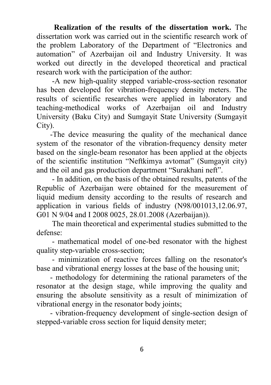**Realization of the results of the dissertation work.** The dissertation work was carried out in the scientific research work of the problem Laboratory of the Department of "Electronics and automation" of Azerbaijan oil and Industry University. It was worked out directly in the developed theoretical and practical research work with the participation of the author:

 -A new high-quality stepped variable-cross-section resonator has been developed for vibration-frequency density meters. The results of scientific researches were applied in laboratory and teaching-methodical works of Azerbaijan oil and Industry University (Baku City) and Sumgayit State University (Sumgayit City).

 -The device measuring the quality of the mechanical dance system of the resonator of the vibration-frequency density meter based on the single-beam resonator has been applied at the objects of the scientific institution "Neftkimya avtomat" (Sumgayit city) and the oil and gas production department "Surakhani neft".

 - In addition, on the basis of the obtained results, patents of the Republic of Azerbaijan were obtained for the measurement of liquid medium density according to the results of research and application in various fields of industry (N98/001013,12.06.97, G01 N 9/04 and I 2008 0025, 28.01.2008 (Azerbaijan)).

 The main theoretical and experimental studies submitted to the defense:

 - mathematical model of one-bed resonator with the highest quality step-variable cross-section;

 - minimization of reactive forces falling on the resonator's base and vibrational energy losses at the base of the housing unit;

 - methodology for determining the rational parameters of the resonator at the design stage, while improving the quality and ensuring the absolute sensitivity as a result of minimization of vibrational energy in the resonator body joints;

 - vibration-frequency development of single-section design of stepped-variable cross section for liquid density meter;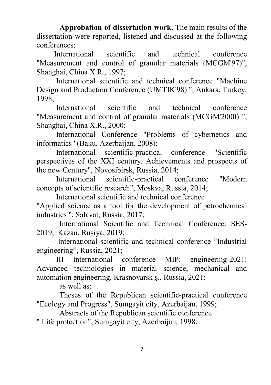**Approbation of dissertation work.** The main results of the dissertation were reported, listened and discussed at the following conferences:

 International scientific and technical conference "Measurement and control of granular materials (MCGM'97)", Shanghai, China X.R., 1997;

 International scientific and technical conference "Machine Design and Production Conference (UMTIK'98) ", Ankara, Turkey, 1998;

 International scientific and technical conference "Measurement and control of granular materials (MCGM'2000) ", Shanghai, China X.R., 2000;

 International Conference "Problems of cybernetics and informatics "(Baku, Azerbaijan, 2008);

 International scientific-practical conference "Scientific perspectives of the XXI century. Achievements and prospects of the new Century", Novosibirsk, Russia, 2014;

 International scientific-practical conference "Modern concepts of scientific research", Moskva, Russia, 2014;

International scientific and technical conference

"Applied science as a tool for the development of petrochemical industries ", Salavat, Russia, 2017;

International Scientific and Technical Conference: SES-2019, Kazan, Rusiya, 2019;

 International scientific and technical conference "Industrial engineering", Russia, 2021;

 III International conference MIP: engineering-2021: Advanced technologies in material science, mechanical and automation engineering, Krasnoyarsk ş., Russia, 2021;

as well as:

Theses of the Republican scientific-practical conference "Ecology and Progress", Sumgayit city, Azerbaijan, 1999;

Abstracts of the Republican scientific conference

" Life protection", Sumgayit city, Azerbaijan, 1998;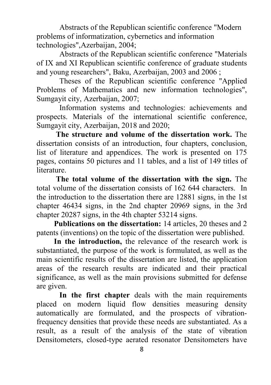Abstracts of the Republican scientific conference "Modern problems of informatization, cybernetics and information technologies",Azerbaijan, 2004;

Abstracts of the Republican scientific conference "Materials of IX and XI Republican scientific conference of graduate students and young researchers", Baku, Azerbaijan, 2003 and 2006 ;

Theses of the Republican scientific conference "Applied Problems of Mathematics and new information technologies", Sumgayit city, Azerbaijan, 2007;

Information systems and technologies: achievements and prospects. Materials of the international scientific conference, Sumgayit city, Azerbaijan, 2018 and 2020;

 **The structure and volume of the dissertation work.** The dissertation consists of an introduction, four chapters, conclusion, list of literature and appendices. The work is presented on 175 pages, contains 50 pictures and 11 tables, and a list of 149 titles of literature.

 **The total volume of the dissertation with the sign.** The total volume of the dissertation consists of 162 644 characters. In the introduction to the dissertation there are 12881 signs, in the 1st chapter 46434 signs, in the 2nd chapter 20969 signs, in the 3rd chapter 20287 signs, in the 4th chapter 53214 signs.

 **Publications on the dissertation:** 14 articles, 20 theses and 2 patents (inventions) on the topic of the dissertation were published.

 **In the introduction,** the relevance of the research work is substantiated, the purpose of the work is formulated, as well as the main scientific results of the dissertation are listed, the application areas of the research results are indicated and their practical significance, as well as the main provisions submitted for defense are given.

**In the first chapter** deals with the main requirements placed on modern liquid flow densities measuring density automatically are formulated, and the prospects of vibrationfrequency densities that provide these needs are substantiated. As a result, as a result of the analysis of the state of vibration Densitometers, closed-type aerated resonator Densitometers have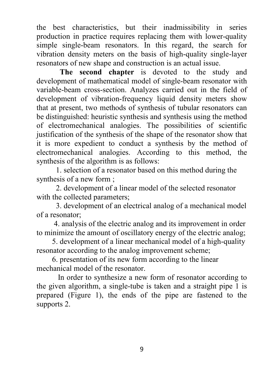the best characteristics, but their inadmissibility in series production in practice requires replacing them with lower-quality simple single-beam resonators. In this regard, the search for vibration density meters on the basis of high-quality single-layer resonators of new shape and construction is an actual issue.

 **The second chapter** is devoted to the study and development of mathematical model of single-beam resonator with variable-beam cross-section. Analyzes carried out in the field of development of vibration-frequency liquid density meters show that at present, two methods of synthesis of tubular resonators can be distinguished: heuristic synthesis and synthesis using the method of electromechanical analogies. The possibilities of scientific justification of the synthesis of the shape of the resonator show that it is more expedient to conduct a synthesis by the method of electromechanical analogies. According to this method, the synthesis of the algorithm is as follows:

 1. selection of a resonator based on this method during the synthesis of a new form ;

 2. development of a linear model of the selected resonator with the collected parameters:

 3. development of an electrical analog of a mechanical model of a resonator;

 4. analysis of the electric analog and its improvement in order to minimize the amount of oscillatory energy of the electric analog;

 5. development of a linear mechanical model of a high-quality resonator according to the analog improvement scheme;

 6. presentation of its new form according to the linear mechanical model of the resonator.

In order to synthesize a new form of resonator according to the given algorithm, a single-tube is taken and a straight pipe 1 is prepared (Figure 1), the ends of the pipe are fastened to the supports 2.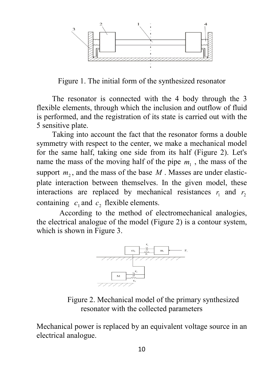

Figure 1. The initial form of the synthesized resonator

 The resonator is connected with the 4 body through the 3 flexible elements, through which the inclusion and outflow of fluid is performed, and the registration of its state is carried out with the 5 sensitive plate.

Taking into account the fact that the resonator forms a double symmetry with respect to the center, we make a mechanical model for the same half, taking one side from its half (Figure 2). Let's name the mass of the moving half of the pipe  $m_1$ , the mass of the support  $m<sub>2</sub>$ , and the mass of the base  $M$ . Masses are under elasticplate interaction between themselves. In the given model, these interactions are replaced by mechanical resistances  $r_1$  and  $r_2$ containing  $c_1$  and  $c_2$  flexible elements.

According to the method of electromechanical analogies, the electrical analogue of the model (Figure 2) is a contour system, which is shown in Figure 3.



Figure 2. Mechanical model of the primary synthesized resonator with the collected parameters

Mechanical power is replaced by an equivalent voltage source in an electrical analogue.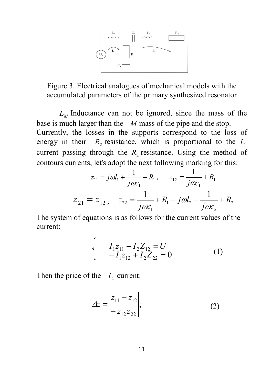

Figure 3. Electrical analogues of mechanical models with the accumulated parameters of the primary synthesized resonator

 $L<sub>M</sub>$  Inductance can not be ignored, since the mass of the base is much larger than the *M* mass of the pipe and the stop. Currently, the losses in the supports correspond to the loss of energy in their  $R_2$  resistance, which is proportional to the  $I_2$ current passing through the  $R<sub>2</sub>$  resistance. Using the method of contours currents, let's adopt the next following marking for this:

$$
z_{11} = j\omega l_1 + \frac{1}{j\omega c_1} + R_1, \qquad z_{12} = \frac{1}{j\omega c_1} + R_1
$$
  

$$
z_{21} = z_{12}, \quad z_{22} = \frac{1}{j\omega c_1} + R_1 + j\omega l_2 + \frac{1}{j\omega c_2} + R_2
$$

The system of equations is as follows for the current values of the current:

$$
\begin{cases}\nI_{1}z_{11} - I_{2}Z_{12} = U \\
-I_{1}z_{12} + I_{2}Z_{22} = 0\n\end{cases}
$$
\n(1)

Then the price of the  $I_2$  current:

$$
\Delta z = \begin{vmatrix} z_{11} - z_{12} \\ -z_{12} z_{22} \end{vmatrix};
$$
 (2)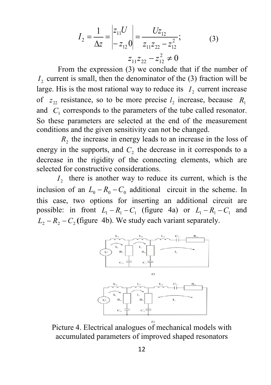$$
I_2 = \frac{1}{\Delta z} = \begin{vmatrix} z_{11}U \\ -z_{12}0 \end{vmatrix} = \frac{Uz_{12}}{z_{11}z_{22} - z_{12}^2};
$$
(3)  

$$
z_{11}z_{22} - z_{12}^2 \neq 0
$$

 From the expression (3) we conclude that if the number of  $I<sub>2</sub>$  current is small, then the denominator of the  $(3)$  fraction will be large. His is the most rational way to reduce its  $I_2$  current increase of  $z_{22}$  resistance, so to be more precise  $l_2$  increase, because  $R_1$ and  $C_1$  corresponds to the parameters of the tube called resonator. So these parameters are selected at the end of the measurement conditions and the given sensitivity can not be changed.

*R*<sub>2</sub> the increase in energy leads to an increase in the loss of energy in the supports, and  $C<sub>2</sub>$  the decrease in it corresponds to a decrease in the rigidity of the connecting elements, which are selected for constructive considerations.

 $I<sub>2</sub>$  there is another way to reduce its current, which is the inclusion of an  $L_0 - R_0 - C_0$  additional circuit in the scheme. In this case, two options for inserting an additional circuit are possible: in front  $L_1 - R_1 - C_1$  (figure 4a) or  $L_1 - R_1 - C_1$  and  $L_2 - R_2 - C_2$  (figure 4b). We study each variant separately.



Picture 4. Electrical analogues of mechanical models with accumulated parameters of improved shaped resonators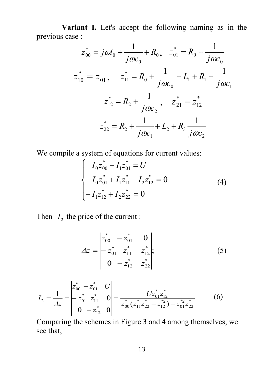**Variant I.** Let's accept the following naming as in the previous case :

$$
z_{00}^{*} = j\omega l_{0} + \frac{1}{j\omega c_{0}} + R_{0}, \quad z_{01}^{*} = R_{0} + \frac{1}{j\omega c_{0}}
$$
  

$$
z_{10}^{*} = z_{01}, \quad z_{11}^{*} = R_{0} + \frac{1}{j\omega c_{0}} + L_{1} + R_{1} + \frac{1}{j\omega c_{1}}
$$
  

$$
z_{12}^{*} = R_{2} + \frac{1}{j\omega c_{2}}, \quad z_{21}^{*} = z_{12}^{*}
$$
  

$$
z_{22}^{*} = R_{2} + \frac{1}{j\omega c_{1}} + L_{2} + R_{3} \frac{1}{j\omega c_{2}}
$$

We compile a system of equations for current values:

$$
\begin{cases}\nI_0 z_{00}^* - I_1 z_{01}^* = U \\
-I_0 z_{01}^* + I_1 z_{11}^* - I_2 z_{12}^* = 0 \\
-I_1 z_{12}^* + I_2 z_{22}^* = 0\n\end{cases}
$$
\n(4)

Then  $I_2$  the price of the current :

$$
\Delta z = \begin{vmatrix} z_{00}^* & -z_{01}^* & 0 \\ -z_{01}^* & z_{11}^* & z_{12}^* \\ 0 & -z_{12}^* & z_{22}^* \end{vmatrix};
$$
 (5)

$$
I_2 = \frac{1}{\Delta z} = \begin{vmatrix} z_{00}^* - z_{01}^* & U \\ -z_{01}^* & z_{11}^* & 0 \\ 0 & -z_{12}^* & 0 \end{vmatrix} = \frac{Uz_{01}^* z_{12}^*}{z_{00}^* (z_{11}^* z_{22}^* - z_{12}^*) - z_{01}^* z_{22}^*}
$$
(6)

Comparing the schemes in Figure 3 and 4 among themselves, we see that,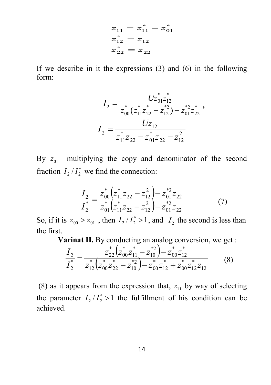$$
z_{11} = z_{11}^* - z_{01}^*
$$
  
\n
$$
z_{12}^* = z_{12}
$$
  
\n
$$
z_{22}^* = z_{22}
$$

If we describe in it the expressions (3) and (6) in the following form:

$$
I_2 = \frac{Uz_{01}^* z_{12}^*}{z_{00}^* (z_{11}^* z_{22}^* - z_{12}^{*2}) - z_{01}^{*2} z_{22}^*},
$$
  

$$
I_2 = \frac{Uz_{12}}{z_{11}^* z_{22} - z_{01}^* z_{22} - z_{12}^2}
$$

By  $z_{01}$  multiplying the copy and denominator of the second fraction  $I_2/I_2^*$  we find the connection:

$$
\frac{I_2}{I_2^*} = \frac{z_{00}^* \left(z_{11}^* z_{22} - z_{12}^2\right) - z_{01}^{*2} z_{22}}{z_{01}^* \left(z_{11}^* z_{22} - z_{12}^2\right) - z_{01}^{*2} z_{22}}
$$
(7)

So, if it is  $z_{00} > z_{01}$ , then  $I_2/I_2^* > 1$ , and  $I_2$  the second is less than the first.

**Varinat II.** By conducting an analog conversion, we get :

$$
\frac{I_2}{I_2^*} = \frac{z_{22}^* \left(z_{00}^* z_{11}^* - z_{10}^{*2}\right) - z_{00}^* z_{12}^*}{z_{12}^* \left(z_{00}^* z_{22}^* - z_{10}^{*2}\right) - z_{00}^* z_{12}^* + z_{00}^* z_{12}^* z_{12}}
$$
(8)

(8) as it appears from the expression that,  $z_{11}$  by way of selecting the parameter  $I_2/I_2^* > 1$  the fulfillment of his condition can be achieved.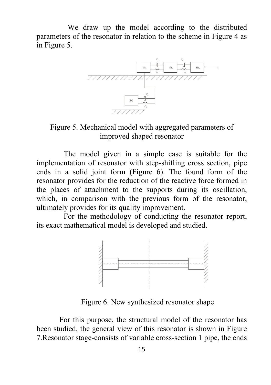We draw up the model according to the distributed parameters of the resonator in relation to the scheme in Figure 4 as in Figure 5.



Figure 5. Mechanical model with aggregated parameters of improved shaped resonator

 The model given in a simple case is suitable for the implementation of resonator with step-shifting cross section, pipe ends in a solid joint form (Figure 6). The found form of the resonator provides for the reduction of the reactive force formed in the places of attachment to the supports during its oscillation, which, in comparison with the previous form of the resonator, ultimately provides for its quality improvement.

 For the methodology of conducting the resonator report, its exact mathematical model is developed and studied.



Figure 6. New synthesized resonator shape

For this purpose, the structural model of the resonator has been studied, the general view of this resonator is shown in Figure 7.Resonator stage-consists of variable cross-section 1 pipe, the ends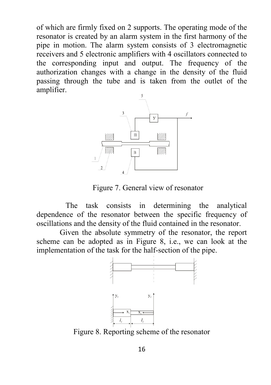of which are firmly fixed on 2 supports. The operating mode of the resonator is created by an alarm system in the first harmony of the pipe in motion. The alarm system consists of 3 electromagnetic receivers and 5 electronic amplifiers with 4 oscillators connected to the corresponding input and output. The frequency of the authorization changes with a change in the density of the fluid passing through the tube and is taken from the outlet of the amplifier.



Figure 7. General view of resonator

 The task consists in determining the analytical dependence of the resonator between the specific frequency of oscillations and the density of the fluid contained in the resonator.

 Given the absolute symmetry of the resonator, the report scheme can be adopted as in Figure 8, i.e., we can look at the implementation of the task for the half-section of the pipe.



Figure 8. Reporting scheme of the resonator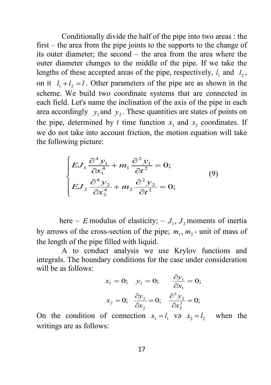Conditionally divide the half of the pipe into two areas : the first – the area from the pipe joints to the supports to the change of its outer diameter; the second – the area from the area where the outer diameter changes to the middle of the pipe. If we take the lengths of these accepted areas of the pipe, respectively,  $l_1$  and  $l_2$ , on it  $l_1 + l_2 = l$ . Other parameters of the pipe are as shown in the scheme. We build two coordinate systems that are connected in each field. Let's name the inclination of the axis of the pipe in each area accordingly  $y_1$  and  $y_2$ . These quantities are states of points on the pipe, determined by *t* time function  $x_1$  and  $x_2$  coordinates. If we do not take into account friction, the motion equation will take the following picture:

$$
\begin{cases}\nEJ_1 \frac{\partial^4 y_1}{\partial x_1^4} + m_1 \frac{\partial^2 y_1}{\partial t^2} = 0; \\
EJ_2 \frac{\partial^4 y_2}{\partial x_2^4} + m_2 \frac{\partial^2 y_2}{\partial t^2} = 0;\n\end{cases} \tag{9}
$$

here – *E* modulus of elasticity; –  $J_1$ ,  $J_2$  moments of inertia by arrows of the cross-section of the pipe;  $m_1$ ,  $m_2$ - unit of mass of the length of the pipe filled with liquid.

 A to conduct analysis we use Krylov functions and integrals. The boundary conditions for the case under consideration will be as follows:

$$
x_1 = 0; \quad y_1 = 0; \quad \frac{\partial y_1}{\partial x_1} = 0;
$$

$$
x_2 = 0; \quad \frac{\partial y_2}{\partial x_2} = 0; \quad \frac{\partial^3 y_2}{\partial x_2^3} = 0;
$$

On the condition of connection  $x_1 = l_1$  və  $x_2 = l_2$  when the writings are as follows: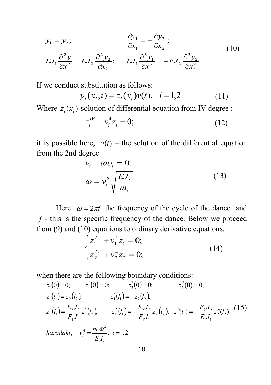$$
y_1 = y_2;
$$
  
\n
$$
\frac{\partial y_1}{\partial x_1} = -\frac{\partial y_2}{\partial x_2};
$$
  
\n
$$
EJ_1 \frac{\partial^2 y}{\partial x_1^2} = EJ_2 \frac{\partial^2 y_2}{\partial x_2^2};
$$
  
\n
$$
EJ_1 \frac{\partial^3 y_1}{\partial x_1^3} = -EJ_2 \frac{\partial^3 y_2}{\partial x_2^2}
$$
  
\n(10)

If we conduct substitution as follows:

$$
y_i(x_i, t) = z_i(x_i)v(t), \quad i = 1,2
$$
 (11)

Where  $z_i(x_i)$  solution of differential equation from IV degree :

$$
z_i^{IV} - v_i^4 z_i = 0; \t\t(12)
$$

it is possible here,  $v(t)$  – the solution of the differential equation from the 2nd degree :

$$
v_i + \omega v_i = 0;
$$
  
\n
$$
\omega = v_i^2 \sqrt{\frac{E J_i}{m_i}}
$$
\n(13)

Here  $\omega = 2\pi f$  the frequency of the cycle of the dance and  $f$  - this is the specific frequency of the dance. Below we proceed from (9) and (10) equations to ordinary derivative equations.

$$
\begin{cases} z_1^{\text{IV}} + v_1^4 z_1 = 0; \\ z_2^{\text{IV}} + v_2^4 z_2 = 0; \end{cases}
$$
 (14)

when there are the following boundary conditions:

$$
z_1(0) = 0; \t z_1^{'}(0) = 0; \t z_2^{''}(0) = 0; \t z_2^{''}(0) = 0; \n z_1(l_1) = z_2(l_2), \t z_1^{'}(l_1) = -z_2^{'}(l_2), \n z_1^{''}(l_1) = \frac{E_2 J_2}{E_1 J_1} z_2^{''}(l_2), \t z_1^{''}(l_1) = -\frac{E_2 J_2}{E_1 J_1} z_2^{''}(l_2), \t z_1^{''}(l_1) = -\frac{E_2 J_2}{E_1 J_1} z_2^{''}(l_2)
$$
\n(15)

 $v_i^4 = \frac{m_1 \omega}{E_i}$ ,  $i = 1,2$  $E_i I$ *haradaki*,  $v_i^4 = \frac{m}{I}$ *i i i*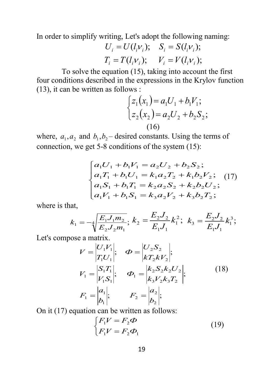In order to simplify writing, Let's adopt the following naming:

$$
U_i = U(l_i v_i); \quad S_i = S(l_i v_i);
$$
  
\n
$$
T_i = T(l_i v_i); \quad V_i = V(l_i v_i);
$$

 To solve the equation (15), taking into account the first four conditions described in the expressions in the Krylov function (13), it can be written as follows :

$$
\begin{cases} z_1(x_1) = a_1 U_1 + b_1 V_1; \\ z_2(x_2) = a_2 U_2 + b_2 S_2; \end{cases}
$$
  
(16)

where,  $a_1, a_2$  and  $b_1, b_2$  desired constants. Using the terms of connection, we get 5-8 conditions of the system (15):

$$
\begin{cases}\na_1U_1 + b_1V_1 = a_2U_2 + b_2S_2; \\
a_1T_1 + b_1U_1 = k_1a_2T_2 + k_1b_2V_2; \\
a_1S_1 + b_1T_1 = k_2a_2S_2 + k_2b_2U_2; \\
a_1V_1 + b_1S_1 = k_3a_2V_2 + k_3b_2T_2;\n\end{cases}
$$
\n(17)

where is that,

$$
k_1 = -4 \sqrt{\frac{E_1 J_1 m_2}{E_2 J_2 m_1}}; k_2 = \frac{E_2 J_2}{E_1 J_1} k_1^2; k_3 = \frac{E_2 J_2}{E_1 J_1} k_1^3;
$$

Let's compose a matrix.

$$
V = \begin{vmatrix} U_1 V_1 \\ T_1 U_1 \end{vmatrix}; \quad \Phi = \begin{vmatrix} U_2 S_2 \\ k T_2 k V_2 \end{vmatrix};
$$
  
\n
$$
V_1 = \begin{vmatrix} S_1 T_1 \\ V_1 S_1 \end{vmatrix}; \quad \Phi_1 = \begin{vmatrix} k_2 S_2 k_2 U_2 \\ k_3 V_2 k_3 T_2 \end{vmatrix};
$$
  
\n
$$
F_1 = \begin{vmatrix} a_1 \\ b_1 \end{vmatrix}; \quad F_2 = \begin{vmatrix} a_2 \\ b_2 \end{vmatrix};
$$
 (18)

On it (17) equation can be written as follows:

$$
\begin{cases}\nF_1 V = F_2 \Phi \\
F_1 V = F_2 \Phi_1\n\end{cases}
$$
\n(19)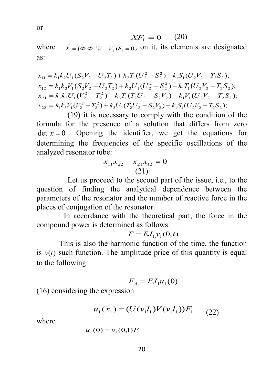$$
XF_1 = 0 \qquad (20)
$$

where  $X = (\boldsymbol{\Phi}_1 \boldsymbol{\Phi}^{-1} V - V_1) F_1 = 0$ , on it, its elements are designated as:

$$
x_{11} = k_1 k_2 U_1 (S_2 V_2 - U_2 T_2) + k_2 T_1 (U_2^2 - S_2^2) - k_1 S_1 (U_2 V_2 - T_2 S_2);
$$
  
\n
$$
x_{12} = k_1 k_2 V_1 (S_2 V_2 - U_2 T_2) + k_2 U_1 (U_2^2 - S_2^2) - k_1 T_1 (U_2 V_2 - T_2 S_2);
$$
  
\n
$$
x_{21} = k_1 k_3 U_1 (V_2^2 - T_2^2) + k_3 T_1 (T_2 U_2 - S_2 V_2) - k_1 V_1 (U_2 V_2 - T_2 S_2);
$$
  
\n
$$
x_{22} = k_1 k_3 V_1 (V_2^2 - T_2^2) + k_3 U_1 (T_2 U_2 - S_2 V_2) - k_1 S_1 (U_2 V_2 - T_2 S_2);
$$

 (19) it is necessary to comply with the condition of the formula for the presence of a solution that differs from zero det  $x = 0$ . Opening the identifier, we get the equations for determining the frequencies of the specific oscillations of the analyzed resonator tube:

$$
x_{11}x_{22} - x_{21}x_{12} = 0
$$
  
(21)

 Let us proceed to the second part of the issue, i.e., to the question of finding the analytical dependence between the parameters of the resonator and the number of reactive force in the places of conjugation of the resonator.

 In accordance with the theoretical part, the force in the compound power is determined as follows:

$$
F = EJ_1y_1(0,t)
$$

This is also the harmonic function of the time, the function is  $v(t)$  such function. The amplitude price of this quantity is equal to the following:

$$
F_{A}=EJ_{1}u_{1}(0)
$$

(16) considering the expression

$$
u_1(x_1) = (U(v_1 l_1) V(v_1 l_1)) F_1 \qquad (22)
$$

where 
$$
u_1(0) = v_1(0,1)F_1
$$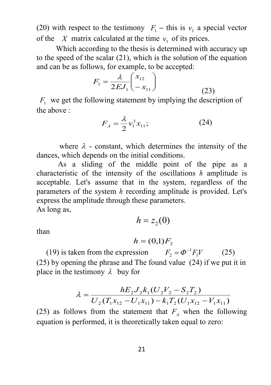(20) with respect to the testimony  $F_1$  – this is  $v_1$  a special vector of the *X* matrix calculated at the time  $v_1$  of its prices.

 Which according to the thesis is determined with accuracy up to the speed of the scalar (21), which is the solution of the equation and can be as follows, for example, to be accepted:

$$
F_1 = \frac{\lambda}{2EJ_1} \begin{pmatrix} x_{12} \\ -x_{11} \end{pmatrix}
$$
 (23)

 $F_1$  we get the following statement by implying the description of the above :

$$
F_A = \frac{\lambda}{2} v_1^3 x_{11};\tag{24}
$$

where  $\lambda$  - constant, which determines the intensity of the dances, which depends on the initial conditions.

 As a sliding of the middle point of the pipe as a characteristic of the intensity of the oscillations *h* amplitude is acceptable. Let's assume that in the system, regardless of the parameters of the system *h* recording amplitude is provided. Let's express the amplitude through these parameters. As long as,

$$
h=z_2(0)
$$

than

$$
h=(0,1)F_2
$$

(19) is taken from the expression  $F_2 = \Phi^{-1} F_1 V$  (25) (25) by opening the phrase and The found value (24) if we put it in place in the testimony  $\lambda$  buy for

$$
\lambda = \frac{hE_2 J_2 k_1 (U_2 V_2 - S_2 T_2)}{U_2 (T_1 x_{12} - U_1 x_{11}) - k_1 T_2 (U_1 x_{12} - V_1 x_{11})}
$$

(25) as follows from the statement that  $F_A$  when the following equation is performed, it is theoretically taken equal to zero: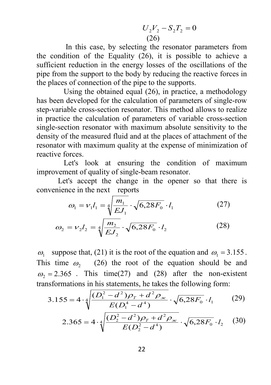$$
U_2V_2 - S_2T_2 = 0
$$
  
(26)

 In this case, by selecting the resonator parameters from the condition of the Equality (26), it is possible to achieve a sufficient reduction in the energy losses of the oscillations of the pipe from the support to the body by reducing the reactive forces in the places of connection of the pipe to the supports.

 Using the obtained equal (26), in practice, a methodology has been developed for the calculation of parameters of single-row step-variable cross-section resonator. This method allows to realize in practice the calculation of parameters of variable cross-section single-section resonator with maximum absolute sensitivity to the density of the measured fluid and at the places of attachment of the resonator with maximum quality at the expense of minimization of reactive forces.

 Let's look at ensuring the condition of maximum improvement of quality of single-beam resonator.

 Let's accept the change in the opener so that there is convenience in the next reports

$$
\omega_1 = v_1 l_1 = \sqrt[4]{\frac{m_1}{E J_1}} \cdot \sqrt{6,28F_0} \cdot l_1 \tag{27}
$$

$$
\omega_2 = \nu_2 l_2 = \sqrt[4]{\frac{m_2}{E J_2}} \cdot \sqrt{6,28F_0} \cdot l_2 \tag{28}
$$

ω<sub>1</sub> suppose that, (21) it is the root of the equation and  $ω_1 = 3.155$ . This time  $\omega$ , (26) the root of the equation should be and  $\omega_2$  = 2.365. This time(27) and (28) after the non-existent transformations in his statements, he takes the following form:

$$
3.155 = 4 \cdot \sqrt[4]{\frac{(D_1^2 - d^2)\rho_T + d^2 \rho_{\text{ac}}}{E(D_1^4 - d^4)} \cdot \sqrt{6,28F_0} \cdot l_1}
$$
 (29)

$$
2.365 = 4 \cdot \sqrt[4]{\frac{(D_2^2 - d^2)\rho_T + d^2 \rho_{\text{wc}}}{E(D_2^2 - d^4)}} \cdot \sqrt{6,28F_0} \cdot l_2 \quad (30)
$$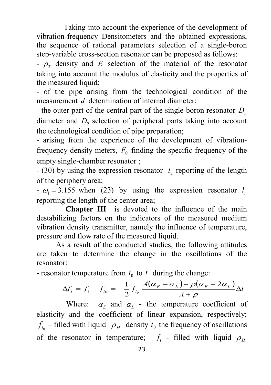Taking into account the experience of the development of vibration-frequency Densitometers and the obtained expressions, the sequence of rational parameters selection of a single-boron step-variable cross-section resonator can be proposed as follows:

 $-\rho_r$  density and *E* selection of the material of the resonator taking into account the modulus of elasticity and the properties of the measured liquid;

- of the pipe arising from the technological condition of the measurement *d* determination of internal diameter;

- the outer part of the central part of the single-boron resonator  $D_1$ diameter and *D*<sub>2</sub> selection of peripheral parts taking into account the technological condition of pipe preparation;

- arising from the experience of the development of vibrationfrequency density meters,  $F_0$  finding the specific frequency of the empty single-chamber resonator ;

- (30) by using the expression resonator <sup>2</sup>*l* reporting of the length of the periphery area;

 $-\omega_1 = 3.155$  when (23) by using the expression resonator  $l_1$ reporting the length of the center area;

 **Chapter III** is devoted to the influence of the main destabilizing factors on the indicators of the measured medium vibration density transmitter, namely the influence of temperature, pressure and flow rate of the measured liquid.

 As a result of the conducted studies, the following attitudes are taken to determine the change in the oscillations of the resonator:

**-** resonator temperature from  $t_0$  to  $t$  during the change:

$$
\Delta f_t = f_t - f_{to} = -\frac{1}{2} f_{t_0} \frac{A(\alpha_E - \alpha_L) + \rho(\alpha_E + 2\alpha_L)}{A + \rho} \Delta t
$$

Where:  $\alpha_F$  and  $\alpha_I$  - the temperature coefficient of elasticity and the coefficient of linear expansion, respectively;  $f<sub>b</sub>$  – filled with liquid  $\rho<sub>H</sub>$  density  $t<sub>0</sub>$  the frequency of oscillations of the resonator in temperature;  $f_t$  - filled with liquid  $\rho_H$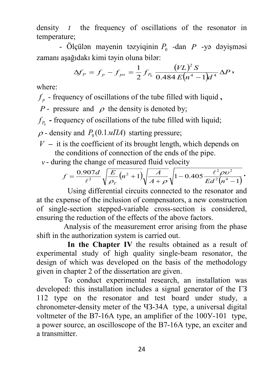density *t* the frequency of oscillations of the resonator in temperature;

- Ölçülən mayenin təzyiqinin *P*<sup>0</sup> -dan *P* -yə dəyişməsi zamanı aşağıdakı kimi təyin oluna bilər:

$$
\Delta f_{\rm\scriptscriptstyle P} = f_{\rm\scriptscriptstyle P} - f_{\rm\scriptscriptstyle po} = \frac{1}{2}\,f_{\rm\scriptscriptstyle P_0}\,\frac{(V L)^2\,S}{0.484\,E\bigl(n^4-1\bigr)d^{\,4}}\,\Delta P\,,
$$

where:

 $f_p$  - frequency of oscillations of the tube filled with liquid,

*P* - pressure and  $\rho$  the density is denoted by;

 $f<sub>p</sub>$  **-** frequency of oscillations of the tube filled with liquid;

 $\rho$  - density and  $P_0(0.1 \text{ mTA})$  starting pressure;

- $V -$  it is the coefficient of its brought length, which depends on the conditions of connection of the ends of the pipe.
- $v$  during the change of measured fluid velocity

$$
f = \frac{0.907d}{\ell^2} \sqrt{\frac{E}{\rho_T} (n^2 + 1)} \sqrt{\frac{A}{A + \rho}} \sqrt{1 - 0.405 \frac{\ell^2 \rho v^2}{E d^2 (n^4 - 1)}}.
$$

 Using differential circuits connected to the resonator and at the expense of the inclusion of compensators, a new construction of single-section stepped-variable cross-section is considered, ensuring the reduction of the effects of the above factors.

 Analysis of the measurement error arising from the phase shift in the authorization system is carried out.

 **In the Chapter IV** the results obtained as a result of experimental study of high quality single-beam resonator, the design of which was developed on the basis of the methodology given in chapter 2 of the dissertation are given.

 To conduct experimental research, an installation was developed: this installation includes a signal generator of the ГЗ 112 type on the resonator and test board under study, a chronometer-density meter of the ЧЗ-34А type, a universal digital voltmeter of the B7-16A type, an amplifier of the 100Y-101 type, a power source, an oscilloscope of the B7-16A type, an exciter and a transmitter.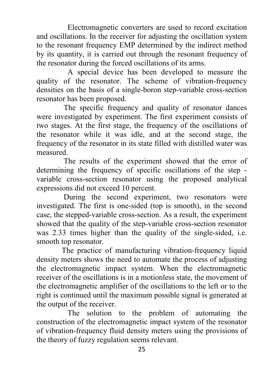Electromagnetic converters are used to record excitation and oscillations. In the receiver for adjusting the oscillation system to the resonant frequency EMP determined by the indirect method by its quantity, it is carried out through the resonant frequency of the resonator during the forced oscillations of its arms.

 A special device has been developed to measure the quality of the resonator. The scheme of vibration-frequency densities on the basis of a single-boron step-variable cross-section resonator has been proposed.

 The specific frequency and quality of resonator dances were investigated by experiment. The first experiment consists of two stages. At the first stage, the frequency of the oscillations of the resonator while it was idle, and at the second stage, the frequency of the resonator in its state filled with distilled water was measured.

 The results of the experiment showed that the error of determining the frequency of specific oscillations of the step variable cross-section resonator using the proposed analytical expressions did not exceed 10 percent.

 During the second experiment, two resonators were investigated. The first is one-sided (top is smooth), in the second case, the stepped-variable cross-section. As a result, the experiment showed that the quality of the step-variable cross-section resonator was 2.33 times higher than the quality of the single-sided, i.e. smooth top resonator.

 The practice of manufacturing vibration-frequency liquid density meters shows the need to automate the process of adjusting the electromagnetic impact system. When the electromagnetic receiver of the oscillations is in a motionless state, the movement of the electromagnetic amplifier of the oscillations to the left or to the right is continued until the maximum possible signal is generated at the output of the receiver.

 The solution to the problem of automating the construction of the electromagnetic impact system of the resonator of vibration-frequency fluid density meters using the provisions of the theory of fuzzy regulation seems relevant.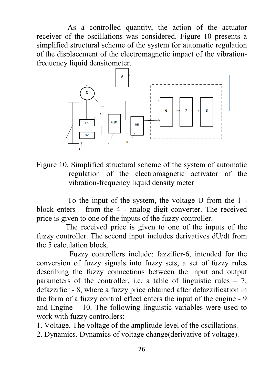As a controlled quantity, the action of the actuator receiver of the oscillations was considered. Figure 10 presents a simplified structural scheme of the system for automatic regulation of the displacement of the electromagnetic impact of the vibrationfrequency liquid densitometer.



Figure 10. Simplified structural scheme of the system of automatic regulation of the electromagnetic activator of the vibration-frequency liquid density meter

 To the input of the system, the voltage U from the 1 block enters from the 4 - analog digit converter. The received price is given to one of the inputs of the fuzzy controller.

 The received price is given to one of the inputs of the fuzzy controller. The second input includes derivatives dU/dt from the 5 calculation block.

 Fuzzy controllers include: fazzifier-6, intended for the conversion of fuzzy signals into fuzzy sets, a set of fuzzy rules describing the fuzzy connections between the input and output parameters of the controller, i.e. a table of linguistic rules  $-7$ ; defazzifier - 8, where a fuzzy price obtained after defazzification in the form of a fuzzy control effect enters the input of the engine - 9 and Engine – 10. The following linguistic variables were used to work with fuzzy controllers:

1. Voltage. The voltage of the amplitude level of the oscillations.

2. Dynamics. Dynamics of voltage change(derivative of voltage).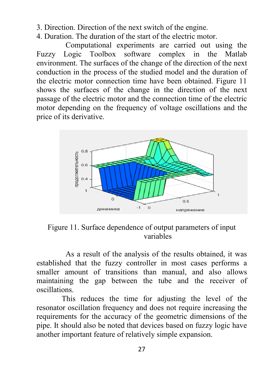3. Direction. Direction of the next switch of the engine.

4. Duration. The duration of the start of the electric motor.

 Computational experiments are carried out using the Fuzzy Logic Toolbox software complex in the Matlab environment. The surfaces of the change of the direction of the next conduction in the process of the studied model and the duration of the electric motor connection time have been obtained. Figure 11 shows the surfaces of the change in the direction of the next passage of the electric motor and the connection time of the electric motor depending on the frequency of voltage oscillations and the price of its derivative.



Figure 11. Surface dependence of output parameters of input variables

 As a result of the analysis of the results obtained, it was established that the fuzzy controller in most cases performs a smaller amount of transitions than manual, and also allows maintaining the gap between the tube and the receiver of oscillations.

 This reduces the time for adjusting the level of the resonator oscillation frequency and does not require increasing the requirements for the accuracy of the geometric dimensions of the pipe. It should also be noted that devices based on fuzzy logic have another important feature of relatively simple expansion.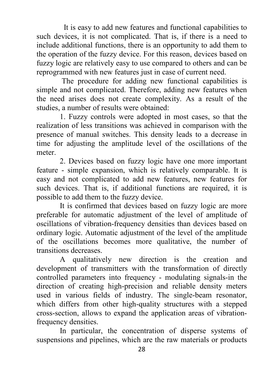It is easy to add new features and functional capabilities to such devices, it is not complicated. That is, if there is a need to include additional functions, there is an opportunity to add them to the operation of the fuzzy device. For this reason, devices based on fuzzy logic are relatively easy to use compared to others and can be reprogrammed with new features just in case of current need.

 The procedure for adding new functional capabilities is simple and not complicated. Therefore, adding new features when the need arises does not create complexity. As a result of the studies, a number of results were obtained:

 1. Fuzzy controls were adopted in most cases, so that the realization of less transitions was achieved in comparison with the presence of manual switches. This density leads to a decrease in time for adjusting the amplitude level of the oscillations of the meter.

 2. Devices based on fuzzy logic have one more important feature - simple expansion, which is relatively comparable. It is easy and not complicated to add new features, new features for such devices. That is, if additional functions are required, it is possible to add them to the fuzzy device.

 It is confirmed that devices based on fuzzy logic are more preferable for automatic adjustment of the level of amplitude of oscillations of vibration-frequency densities than devices based on ordinary logic. Automatic adjustment of the level of the amplitude of the oscillations becomes more qualitative, the number of transitions decreases.

 A qualitatively new direction is the creation and development of transmitters with the transformation of directly controlled parameters into frequency - modulating signals-in the direction of creating high-precision and reliable density meters used in various fields of industry. The single-beam resonator, which differs from other high-quality structures with a stepped cross-section, allows to expand the application areas of vibrationfrequency densities.

 In particular, the concentration of disperse systems of suspensions and pipelines, which are the raw materials or products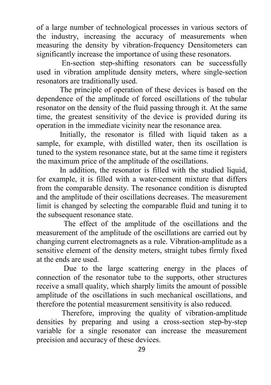of a large number of technological processes in various sectors of the industry, increasing the accuracy of measurements when measuring the density by vibration-frequency Densitometers can significantly increase the importance of using these resonators.

 En-section step-shifting resonators can be successfully used in vibration amplitude density meters, where single-section resonators are traditionally used.

 The principle of operation of these devices is based on the dependence of the amplitude of forced oscillations of the tubular resonator on the density of the fluid passing through it. At the same time, the greatest sensitivity of the device is provided during its operation in the immediate vicinity near the resonance area.

 Initially, the resonator is filled with liquid taken as a sample, for example, with distilled water, then its oscillation is tuned to the system resonance state, but at the same time it registers the maximum price of the amplitude of the oscillations.

 In addition, the resonator is filled with the studied liquid, for example, it is filled with a water-cement mixture that differs from the comparable density. The resonance condition is disrupted and the amplitude of their oscillations decreases. The measurement limit is changed by selecting the comparable fluid and tuning it to the subsequent resonance state.

 The effect of the amplitude of the oscillations and the measurement of the amplitude of the oscillations are carried out by changing current electromagnets as a rule. Vibration-amplitude as a sensitive element of the density meters, straight tubes firmly fixed at the ends are used.

 Due to the large scattering energy in the places of connection of the resonator tube to the supports, other structures receive a small quality, which sharply limits the amount of possible amplitude of the oscillations in such mechanical oscillations, and therefore the potential measurement sensitivity is also reduced.

 Therefore, improving the quality of vibration-amplitude densities by preparing and using a cross-section step-by-step variable for a single resonator can increase the measurement precision and accuracy of these devices.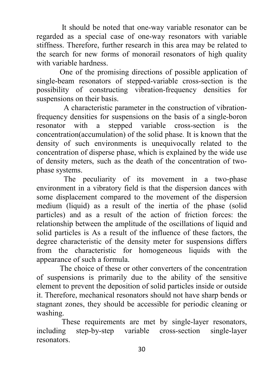It should be noted that one-way variable resonator can be regarded as a special case of one-way resonators with variable stiffness. Therefore, further research in this area may be related to the search for new forms of monorail resonators of high quality with variable hardness.

 One of the promising directions of possible application of single-beam resonators of stepped-variable cross-section is the possibility of constructing vibration-frequency densities for suspensions on their basis.

 A characteristic parameter in the construction of vibrationfrequency densities for suspensions on the basis of a single-boron resonator with a stepped variable cross-section is the concentration(accumulation) of the solid phase. It is known that the density of such environments is unequivocally related to the concentration of disperse phase, which is explained by the wide use of density meters, such as the death of the concentration of twophase systems.

 The peculiarity of its movement in a two-phase environment in a vibratory field is that the dispersion dances with some displacement compared to the movement of the dispersion medium (liquid) as a result of the inertia of the phase (solid particles) and as a result of the action of friction forces: the relationship between the amplitude of the oscillations of liquid and solid particles is As a result of the influence of these factors, the degree characteristic of the density meter for suspensions differs from the characteristic for homogeneous liquids with the appearance of such a formula.

 The choice of these or other converters of the concentration of suspensions is primarily due to the ability of the sensitive element to prevent the deposition of solid particles inside or outside it. Therefore, mechanical resonators should not have sharp bends or stagnant zones, they should be accessible for periodic cleaning or washing.

 These requirements are met by single-layer resonators, including step-by-step variable cross-section single-layer resonators.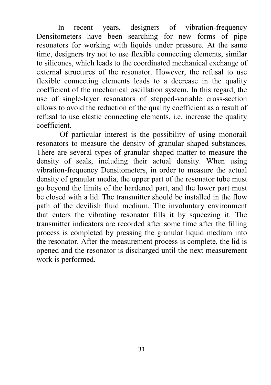In recent years, designers of vibration-frequency Densitometers have been searching for new forms of pipe resonators for working with liquids under pressure. At the same time, designers try not to use flexible connecting elements, similar to silicones, which leads to the coordinated mechanical exchange of external structures of the resonator. However, the refusal to use flexible connecting elements leads to a decrease in the quality coefficient of the mechanical oscillation system. In this regard, the use of single-layer resonators of stepped-variable cross-section allows to avoid the reduction of the quality coefficient as a result of refusal to use elastic connecting elements, i.e. increase the quality coefficient.

 Of particular interest is the possibility of using monorail resonators to measure the density of granular shaped substances. There are several types of granular shaped matter to measure the density of seals, including their actual density. When using vibration-frequency Densitometers, in order to measure the actual density of granular media, the upper part of the resonator tube must go beyond the limits of the hardened part, and the lower part must be closed with a lid. The transmitter should be installed in the flow path of the devilish fluid medium. The involuntary environment that enters the vibrating resonator fills it by squeezing it. The transmitter indicators are recorded after some time after the filling process is completed by pressing the granular liquid medium into the resonator. After the measurement process is complete, the lid is opened and the resonator is discharged until the next measurement work is performed.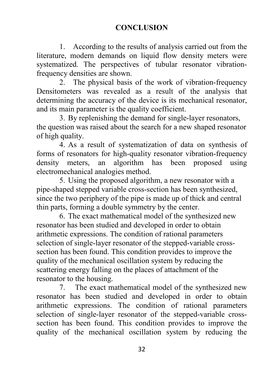### **CONCLUSION**

1. According to the results of analysis carried out from the literature, modern demands on liquid flow density meters were systematized. The perspectives of tubular resonator vibrationfrequency densities are shown.

2. The physical basis of the work of vibration-frequency Densitometers was revealed as a result of the analysis that determining the accuracy of the device is its mechanical resonator, and its main parameter is the quality coefficient.

3. By replenishing the demand for single-layer resonators, the question was raised about the search for a new shaped resonator of high quality.

4. As a result of systematization of data on synthesis of forms of resonators for high-quality resonator vibration-frequency density meters, an algorithm has been proposed using electromechanical analogies method.

5. Using the proposed algorithm, a new resonator with a pipe-shaped stepped variable cross-section has been synthesized, since the two periphery of the pipe is made up of thick and central thin parts, forming a double symmetry by the center.

6. The exact mathematical model of the synthesized new resonator has been studied and developed in order to obtain arithmetic expressions. The condition of rational parameters selection of single-layer resonator of the stepped-variable crosssection has been found. This condition provides to improve the quality of the mechanical oscillation system by reducing the scattering energy falling on the places of attachment of the resonator to the housing.

7. The exact mathematical model of the synthesized new resonator has been studied and developed in order to obtain arithmetic expressions. The condition of rational parameters selection of single-layer resonator of the stepped-variable crosssection has been found. This condition provides to improve the quality of the mechanical oscillation system by reducing the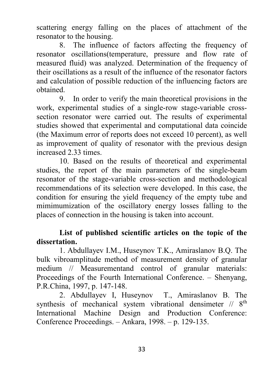scattering energy falling on the places of attachment of the resonator to the housing.

8. The influence of factors affecting the frequency of resonator oscillations(temperature, pressure and flow rate of measured fluid) was analyzed. Determination of the frequency of their oscillations as a result of the influence of the resonator factors and calculation of possible reduction of the influencing factors are obtained.

9. In order to verify the main theoretical provisions in the work, experimental studies of a single-row stage-variable crosssection resonator were carried out. The results of experimental studies showed that experimental and computational data coincide (the Maximum error of reports does not exceed 10 percent), as well as improvement of quality of resonator with the previous design increased 2.33 times.

10. Based on the results of theoretical and experimental studies, the report of the main parameters of the single-beam resonator of the stage-variable cross-section and methodological recommendations of its selection were developed. In this case, the condition for ensuring the yield frequency of the empty tube and mimimumization of the oscillatory energy losses falling to the places of connection in the housing is taken into account.

## **List of published scientific articles on the topic of the dissertation.**

1. Abdullayev I.M., Huseynov T.K., Amiraslanov B.Q. The bulk vibroamplitude method of measurement density of granular medium // Measurementand control of granular materials: Proceedings of the Fourth International Conference. – Shenyang, P.R.China, 1997, p. 147-148.

2. Abdullayev I, Huseynov T., Amiraslanov B. The synthesis of mechanical system vibrational densimeter  $// 8<sup>th</sup>$ International Machine Design and Production Conference: Conference Proceedings. – Ankara, 1998. – p. 129-135.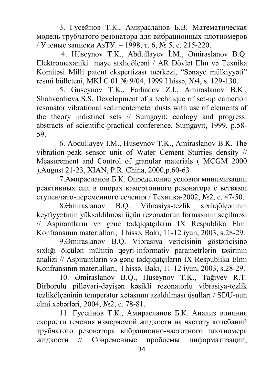3. Гусейнов Т.К., Амирасланов Б.В. Математическая модель трубчатого резонатора для вибрационных плотномеров / Ученые записки АзТУ. – 1998, т. 6, № 5, с. 215-220.

4. Hüseynov T.K., Abdullayev İ.M., Əmiraslanov B.Q. Elektromexaniki maye sıxlıqölçəni / AR Dövlət Elm və Texnika Komitəsi Milli patent ekspertizası mərkəzi, "Sənaye mülkiyyəti" rəsmi bülleteni, MKİ C 01 № 9/04, 1999 I hissə, №4, s. 129-130.

5. Guseynov T.K., Farhadov Z.I., Amiraslanov B.K., Shahverdieva S.S. Development of a technique of set-up camerton resonator vibrational sedimentemeter dusts with use of elements of the theory indistinct sets // Sumgayit; ecology and progress: abstracts of scientific-practical conference, Sumgayit, 1999, p.58- 59.

6. Аbdullayev I.M., Huseynov T.K., Amiraslanov B.K. The vibration-peak sensor unit of Water Cement Sturries density // Measurement and Control of granular materials ( MCGM 2000 ),August 21-23, XIAN, P.R. China, 2000,p.60-63

7.Амирасланов Б.К. Определение условия минимизации реактивных сил в опорах камертонного резонатора с ветвями ступенчато-переменного сечения / Техника-2002, №2, с. 47-50.

8.Əmiraslanov B.Q. Vibrasiya-tezlik sıxlıqölçəninin keyfiyyətinin yüksəldilməsi üçün rezonatorun formasının seçilməsi // Aspirantların və gənc tədqiqatçıların IX Respublika Elmi Konfransının materialları, I hissə, Bakı, 11-12 iyun, 2003, s.28-29.

9.Əmiraslanov B.Q. Vibrasiya vericisinin göstəricisinə sıxlığı ölçülən mühitin qeyri-informativ parametrlərin təsirinin analizi // Aspirantların və gənc tədqiqatçıların IX Respublika Elmi Konfransının materialları, I hissə, Bakı, 11-12 iyun, 2003, s.28-29.

10. Əmiraslanov B.Q., Hüseynov T.K., Tağıyev R.T. Birborulu pilləvari-dəyişən kəsikli rezonatorlu vibrasiya-tezlik tezlikölçəninin temperatur xətasının azaldılması üsulları / SDU-nun elmi xəbərləri, 2004, №2, с. 78-81.

11. Гусейнов Т.К., Амирасланов Б.К. Анализ влияния скорости течения измеряемой жидкости на частоту колебаний трубчатого резонатора вибрационно-частотного плотномера жидкости // Современные проблемы информатизации,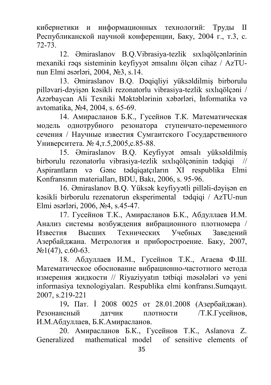кибернетики и информационных технологий: Труды II Республиканской научной конференции, Баку, 2004 г., т.3, с. 72-73.

12. Əmiraslanov B.Q.Vibrasiya-tezlik sıxlıqölçənlərinin mexaniki rəqs sisteminin keyfiyyət əmsalını ölçən cihaz / AzTUnun Elmi əsərləri, 2004, №3, s.14.

13. Əmiraslanov B.Q. Dəqiqliyi yüksəldilmiş birborulu pilləvari-dəyişən kəsikli rezonatorlu vibrasiya-tezlik sıxlıqölçəni / Azərbaycan Ali Texniki Məktəblərinin xəbərləri, İnformatika və avtomatika, №4, 2004, s. 65-69.

14. Амирасланов Б.К., Гусейнов Т.К. Математическая модель однотрубного резонатора ступенчато-переменного сечения / Научные известия Сумгаитского Государственного Университета. № 4,т.5,2005,с.85-88.

15. Əmiraslanov B.Q. Keyfiyyət əmsalı yüksəldilmiş birborulu rezonatorlu vibrasiya-tezlik sıxlıqölçəninin tədqiqi // Aspirantların və Gənc tədqiqatçıların XI respublika Elmi Konfransının materialları, BDU, Bakı, 2006, s. 95-96.

16. Əmiraslanov B.Q. Yüksək keyfiyyətli pilləli-dəyişən en kəsikli birborulu rezenatorun eksperimental tədqiqi / AzTU-nun Elmi əsərləri, 2006, №4, s.45-47.

17. Гусейнов Т.К., Амирасланов Б.К., Абдуллаев И.М. Анализ системы возбуждения вибрационного плотномера / Известия Высших Технических Учебных Заведений Азербайджана. Метрология и приборостроение. Баку, 2007,  $N<sub>2</sub>1(47)$ , c.60-63.

18. Абдуллаев И.М., Гусейнов Т.К., Агаева Ф.Ш. Математическое обоснование вибрационно-частотного метода измерения жидкости // Riyaziyyatın tətbiqi məsələləri və yeni informasiya texnologiyaları. Respublika elmi konfransı.Sumqayıt. 2007, s.219-221

19**.** Пат. İ 2008 0025 от 28.01.2008 (Азербайджан). Резонансный датчик плотности /Т.К.Гусейнов, И.М.Абдуллаев, Б.К.Амирасланов.

20. Амирасланов Б.К., Гусейнов Т.К., Aslanova Z. Generalized mathematical model of sensitive elements of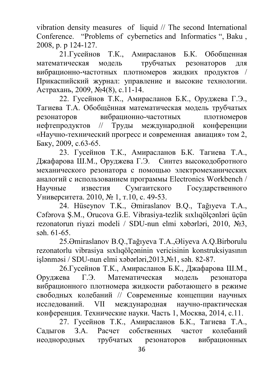vibration density measures of liquid // The second International Conference. "Problems of cybernetics and Informatics ", Baku , 2008, p. p 124-127.

21.Гусейнов Т.К., Амирасланов Б.К. Обобщенная математическая модель трубчатых резонаторов для вибрационно-частотных плотномеров жидких продуктов / Прикаспийский журнал: управление и высокие технологии. Астрахань, 2009, №4(8), с.11-14.

22. Гусейнов Т.К., Амирасланов Б.К., Оруджева Г.Э., Тагиева Т.А. Обобщённая математическая модель трубчатых резонаторов вибрационно-частотных плотномеров нефтепродуктов // Труды международной конференции «Научно-технический прогресс и современная авиация» том 2, Баку, 2009, с.63-65.

23. Гусейнов Т.К., Амирасланов Б.К. Тагиева Т.А., Джафарова Ш.М., Оруджева Г.Э. Синтез высокодобротного механического резонатора с помощью электромеханических аналогий с использованием программы Electronics Workbench / Научные известия Сумгаитского Государственного Университета. 2010, № 1, т.10, с. 49-53.

24. Hüseynov T.K., Əmiraslanov B.Q., Tağıyeva T.A., Cəfərova Ş.M., Orucova G.E. Vibrasiya-tezlik sıxlıqölçənləri üçün rezonatorun riyazi modeli / SDU-nun elmi xəbərləri, 2010, №3, səh. 61-65.

25.Əmiraslanov B.Q.,Tağıyeva T.A.,Əliyeva A.Q.Birborulu rezonatorlu vibrasiya sıxlıqölçəninin vericisinin konstruksiyasının işlənməsi / SDU-nun elmi xəbərləri,2013,№1, səh. 82-87.

26.Гусейнов Т.К., Амирасланов Б.К., Джафарова Ш.М., Оруджева Г.Э. Математическая модель резонатора вибрационного плотномера жидкости работающего в режиме свободных колебаний // Современные концепции научных исследований. VII международная научно-практическая конференция. Технические науки. Часть 1, Москва, 2014, с.11.

27. Гусейнов Т.К., Амирасланов Б.К., Тагиева Т.А., Садыгов З.А. Расчет собственных частот колебаний неоднородных трубчатых резонаторов вибрационных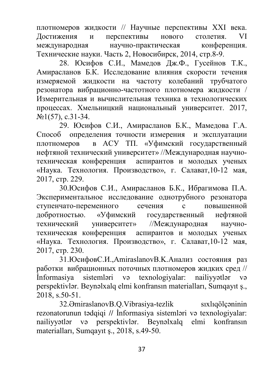плотномеров жидкости // Научные перспективы ХХI века. Достижения и перспективы нового столетия. VI международная научно-практическая конференция. Технические науки. Часть 2, Новосибирск, 2014, стр.8-9.

28. Юсифов С.И., Мамедов Дж.Ф., Гусейнов Т.К., Амирасланов Б.К. Исследование влияния скорости течения измеряемой жидкости на частоту колебаний трубчатого резонатора вибрационно-частотного плотномера жидкости / Измерительная и вычислительная техника в технологических процессах. Хмельницкий национальный университет. 2017,  $N<sub>2</sub>1(57)$ , c.31-34.

29. Юсифов С.И., Амирасланов Б.К., Мамедова Г.А. Способ определения точности измерения и эксплуатации плотномеров в АСУ ТП. «Уфимский государственный нефтяной технический университет» //Международная научнотехническая конференция аспирантов и молодых ученых «Наука. Технология. Производство», г. Салават,10-12 мая, 2017, стр. 229.

30.Юсифов С.И., Амирасланов Б.К., Ибрагимова П.А. Экспериментальное исследование однотрубного резонатора ступенчато-переменного сечения с повышенной добротностью. «Уфимский государственный нефтяной технический университет» //Международная научнотехническая конференция аспирантов и молодых ученых «Наука. Технология. Производство», г. Салават,10-12 мая, 2017, стр. 230.

31.ЮсифовС.И.,AmiraslanovB.K.Анализ состояния раз работки вибрационных поточных плотномеров жидких сред // İnformasiya sistemləri və texnologiyalar: nailiyyətlər və perspektivlər. Beynəlxalq elmi konfransın materialları, Sumqayıt ş., 2018, s.50-51.

32.ƏmiraslanovB.Q.Vibrasiya-tezlik sıxlıqölçəninin rezonatorunun tədqiqi **//** İnformasiya sistemləri və texnologiyalar: nailiyyətlər və perspektivlər. Beynəlxalq elmi konfransın materialları, Sumqayıt ş., 2018, s.49-50.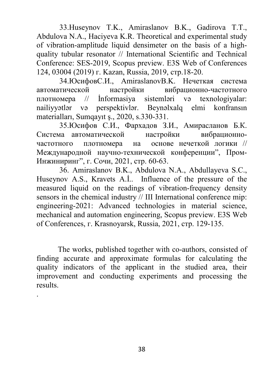33.Huseynov T.K., Amiraslanov B.K., Gadirova T.T., Abdulova N.A., Haciyeva K.R. Theoretical and experimental study of vibration-amplitude liquid densimeter on the basis of a highquality tubular resonator // International Scientific and Technical Conference: SES-2019, Scopus preview. E3S Web of Conferences 124, 03004 (2019) г. Kazan, Russia, 2019, стр.18-20.

34.ЮсифовС.И., AmiraslanovB.K. Нечеткая система автоматической настройки вибрационно-частотного плотномера // İnformasiya sistemləri və texnologiyalar: nailiyyətlər və perspektivlər. Beynəlxalq elmi konfransın materialları, Sumqayıt ş., 2020, s.330-331.

35.Юсифов С.И., Фархадов З.И., Амирасланов Б.К. Система автоматической настройки вибрационночастотного плотномера на основе нечеткой логики // Международной научно-технической конференции", Пром-Инжиниринг", г. Сочи, 2021, стр. 60-63.

36. Amiraslanov B.K., Abdulova N.A., Abdullayeva S.C., Huseynov A.S., Kravets A.İ.. Influence of the pressure of the measured liquid on the readings of vibration-frequency density sensors in the chemical industry // III International conference mip: engineering-2021: Advanced technologies in material science, mechanical and automation engineering, Scopus preview. E3S Web of Conferences, г. Krasnoyarsk, Russia, 2021, стр. 129-135.

 The works, published together with co-authors, consisted of finding accurate and approximate formulas for calculating the quality indicators of the applicant in the studied area, their improvement and conducting experiments and processing the results.

.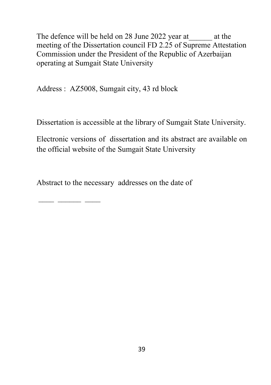The defence will be held on 28 June 2022 year at at the meeting of the Dissertation council FD 2.25 of Supreme Attestation Commission under the President of the Republic of Azerbaijan operating at Sumgait State University

Address : AZ5008, Sumgait city, 43 rd block

Dissertation is accessible at the library of Sumgait State University.

Electronic versions of dissertation and its abstract are available on the official website of the Sumgait State University

Abstract to the necessary addresses on the date of

\_\_\_\_ \_\_\_\_\_\_ \_\_\_\_